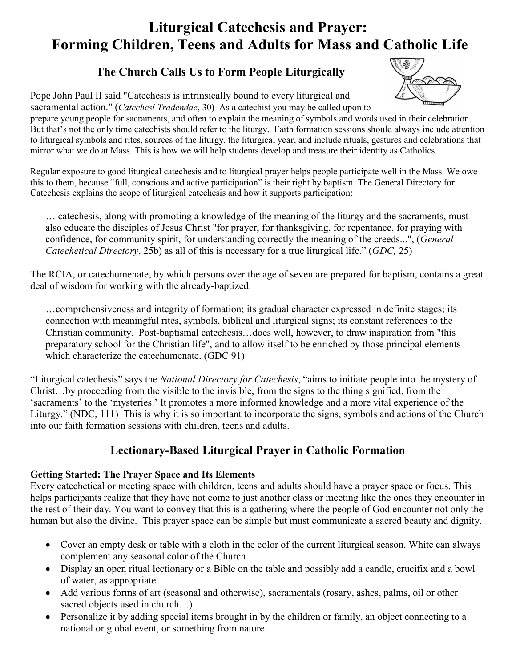# **Liturgical Catechesis and Prayer: Forming Children, Teens and Adults for Mass and Catholic Life**

## **The Church Calls Us to Form People Liturgically**



Pope John Paul II said "Catechesis is intrinsically bound to every liturgical and sacramental action." (*Catechesi Tradendae*, 30) As a catechist you may be called upon to

prepare young people for sacraments, and often to explain the meaning of symbols and words used in their celebration. But that's not the only time catechists should refer to the liturgy. Faith formation sessions should always include attention to liturgical symbols and rites, sources of the liturgy, the liturgical year, and include rituals, gestures and celebrations that mirror what we do at Mass. This is how we will help students develop and treasure their identity as Catholics.

Regular exposure to good liturgical catechesis and to liturgical prayer helps people participate well in the Mass. We owe this to them, because "full, conscious and active participation" is their right by baptism. The General Directory for Catechesis explains the scope of liturgical catechesis and how it supports participation:

… catechesis, along with promoting a knowledge of the meaning of the liturgy and the sacraments, must also educate the disciples of Jesus Christ "for prayer, for thanksgiving, for repentance, for praying with confidence, for community spirit, for understanding correctly the meaning of the creeds...", (*General Catechetical Directory*, 25b) as all of this is necessary for a true liturgical life." (*GDC,* 25)

The RCIA, or catechumenate, by which persons over the age of seven are prepared for baptism, contains a great deal of wisdom for working with the already-baptized:

…comprehensiveness and integrity of formation; its gradual character expressed in definite stages; its connection with meaningful rites, symbols, biblical and liturgical signs; its constant references to the Christian community. Post-baptismal catechesis…does well, however, to draw inspiration from "this preparatory school for the Christian life", and to allow itself to be enriched by those principal elements which characterize the catechumenate. (GDC 91)

"Liturgical catechesis" says the *National Directory for Catechesis*, "aims to initiate people into the mystery of Christ…by proceeding from the visible to the invisible, from the signs to the thing signified, from the 'sacraments' to the 'mysteries.' It promotes a more informed knowledge and a more vital experience of the Liturgy." (NDC, 111) This is why it is so important to incorporate the signs, symbols and actions of the Church into our faith formation sessions with children, teens and adults.

# **Lectionary-Based Liturgical Prayer in Catholic Formation**

#### **Getting Started: The Prayer Space and Its Elements**

Every catechetical or meeting space with children, teens and adults should have a prayer space or focus. This helps participants realize that they have not come to just another class or meeting like the ones they encounter in the rest of their day. You want to convey that this is a gathering where the people of God encounter not only the human but also the divine. This prayer space can be simple but must communicate a sacred beauty and dignity.

- Cover an empty desk or table with a cloth in the color of the current liturgical season. White can always complement any seasonal color of the Church.
- Display an open ritual lectionary or a Bible on the table and possibly add a candle, crucifix and a bowl of water, as appropriate.
- Add various forms of art (seasonal and otherwise), sacramentals (rosary, ashes, palms, oil or other sacred objects used in church...)
- Personalize it by adding special items brought in by the children or family, an object connecting to a national or global event, or something from nature.